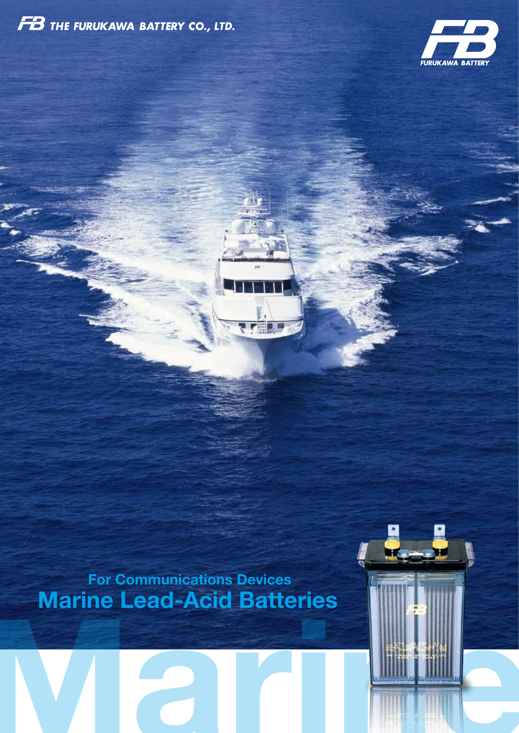



**Marine Lead-Acid Batteries For Communications Devices**

日母